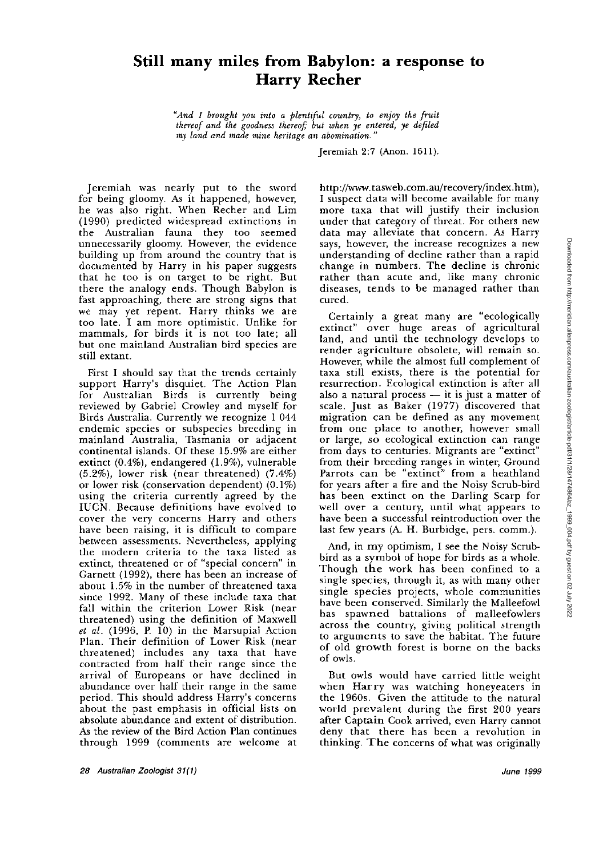## **Still many miles from Babylon: a response to Harry Recher**

"And I brought you into a plentiful country, to enjoy the fruit *thereof and the goodness thereoj; but when ye entered,* **ye** *defiled my land and made mine heritage an abomination."* 

Jeremiah 2:7 (Anon. 1611).

Jeremiah was nearly put to the sword for being gloomy. As it happened, however, he was also right. When Recher and Lim (1990) predicted widespread extinctions in the Australian fauna they too seemed unnecessarily gloomy. However, the evidence building up from around the country that is documented by Harry in his paper suggests that he too is on target to be right. But there the analogy ends. Though Babylon is fast approaching, there are strong signs that we may yet repent. Harry thinks we are too late. I am more optimistic. Unlike for mammals, for birds it is not too late; all but one mainland Australian bird species are still extant.

First I should say that the trends certainly support Harry's disquiet. The Action Plan for Australian Birds is currently being reviewed by Gabriel Crowley and myself for Birds Australia. Currently we recognize 1 044 endemic species or subspecies breeding in mainland Australia, Tasmania or adjacent continental islands. Of these 15.9% are either extinct (0.4%), endangered (1.9%), vulnerable (5.2%), lower risk (near threatened) (7.4%) or lower risk (conservation dependent) (0.1%) using the criteria currently agreed by the IUCN. Because definitions have evolved to cover the very concerns Harry and others have been raising, it is difficult to compare between assessments. Nevertheless, applying the modern criteria to the taxa listed as extinct, threatened or of "special concern" in Garnett (1992), there has been an increase of about 1.5% in the number of threatened taxa since 1992. Many of these include taxa that fall within the criterion Lower Risk (near threatened) using the definition of Maxwell *et al.* (1996, P. 10) in the Marsupial Action Plan. Their definition of Lower Risk (near threatened) includes any taxa that have contracted from half their range since the arrival of Europeans or have declined in abundance over half their range in the same period. This should address Harry's concerns about the past emphasis in official lists on absolute abundance and extent of distribution. As the review of the Bird Action Plan continues through 1999 (comments are welcome at

http://www. **tasweb.com.au/recovery/index.htm),**  I suspect data will become available for many more taxa that will justify their inclusion under that category of threat. For others new data may alleviate that concern. As Harry says, however, the increase recognizes a new understanding of decline rather than a rapid change in numbers. The decline is chronic rather than acute and, like many chronic diseases, tends to be managed rather than cured.

Certainly a great many are "ecologically extinct" over huge areas of agricultural land, and until the technology develops to render agriculture obsolete, will remain so. However, while the almost full complement of taxa still exists, there is the potential for resurrection. Ecological extinction is after all taxa still exists, there is the potential for<br>resurrection. Ecological extinction is after all<br>also a natural process — it is just a matter of<br>scale. Just as Baker  $(1977)$  discovered that scale. Just as Baker (1977) discovered that migration can be defined as any movement from one place to another, however small or large, so ecological extinction can range from days to centuries. Migrants are "extinct" from their breeding ranges in winter, Ground Parrots can be "extinct" from a heathland for years after a fire and the Noisy Scrub-bird has been extinct on the Darling Scarp for well over a century, until what appears to have been a successful reintroduction over the last few years (A. H. Burbidge, pers. comm.).

And, in my optimism, I see the Noisy Scrubbird as a symbol of hope for birds as a whole. Though the work has been confined to a single species, through it, as with many other single species projects, whole communities have been conserved. Similarly the Malleefowl has spawned battalions of malleefowlers across the country, giving political strength to arguments to save the habitat. The future of old growth forest is borne on the backs of owls.

But owls would have carried little weight when Harry was watching honeyeaters in the 1960s. Given the attitude to the natural world prevalent during the first 200 years after Captain Cook arrived, even Harry cannot deny that there has been a revolution in thinking. The concerns of what was originally

*28 Australian Zoologist 3111) June 1999*